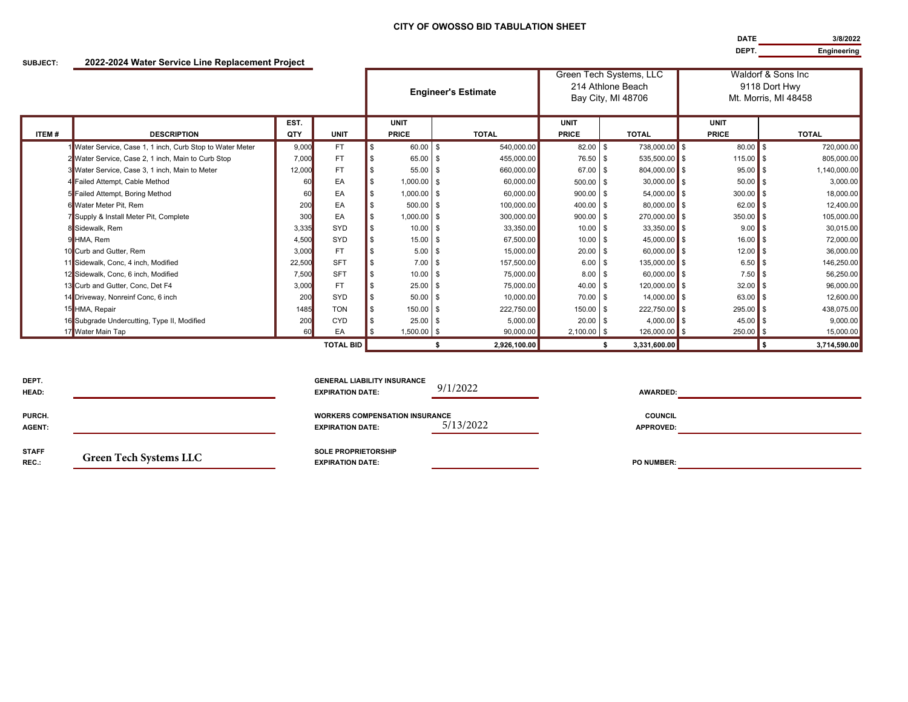## **CITY OF OWOSSO BID TABULATION SHEET**

**DATEDEPT.Engineering**

**3/8/2022**

## **SUBJECT: 2022-2024 Water Service Line Replacement Project**

|       |                                                         |        |                  | <b>Engineer's Estimate</b> |               |      | Green Tech Systems, LLC<br>214 Athlone Beach<br>Bay City, MI 48706 |               |      | Waldorf & Sons Inc<br>9118 Dort Hwy<br>Mt. Morris, MI 48458 |              |                      |
|-------|---------------------------------------------------------|--------|------------------|----------------------------|---------------|------|--------------------------------------------------------------------|---------------|------|-------------------------------------------------------------|--------------|----------------------|
|       |                                                         | EST.   |                  | <b>UNIT</b>                |               |      |                                                                    | <b>UNIT</b>   |      |                                                             | <b>UNIT</b>  |                      |
| ITEM# | <b>DESCRIPTION</b>                                      | QTY    | <b>UNIT</b>      |                            | <b>PRICE</b>  |      | <b>TOTAL</b>                                                       | <b>PRICE</b>  |      | <b>TOTAL</b>                                                | <b>PRICE</b> | <b>TOTAL</b>         |
|       | Mater Service, Case 1, 1 inch, Curb Stop to Water Meter | 9,000  | <b>FT</b>        |                            | 60.00 \$      |      | 540,000.00                                                         | $82.00$ \$    |      | 738,000.00 \$                                               | $80.00$ \$   | 720,000.00           |
|       | 2 Water Service, Case 2, 1 inch, Main to Curb Stop      | 7,000  | <b>FT</b>        |                            | 65.00 \$      |      | 455,000.00                                                         | 76.50 \$      |      | $535,500.00$ \$                                             | $115.00$ \$  | 805,000.00           |
|       | 3 Water Service, Case 3, 1 inch, Main to Meter          | 12,000 | <b>FT</b>        |                            | 55.00         | l S  | 660,000,00                                                         | 67.00         | - \$ | 804,000.00 \$                                               | $95.00$ \$   | 1,140,000.00         |
|       | 4 Failed Attempt, Cable Method                          | 60     | EA               |                            | $1,000.00$ \$ |      | 60,000.00                                                          | $500.00$ \$   |      | $30,000.00$ \$                                              | $50.00$ \$   | 3,000.00             |
|       | 5 Failed Attempt, Boring Method                         |        | EA               |                            | 1,000.00 \$   |      | 60.000.00                                                          | 900.00 \$     |      | $54,000.00$ \$                                              | $300.00$ \$  | 18,000.00            |
|       | 6 Water Meter Pit. Rem                                  | 200    | EA               |                            | $500.00$ \$   |      | 100,000.00                                                         | 400.00 \$     |      | $80,000.00$ \$                                              | $62.00$ \$   | 12,400.00            |
|       | 7 Supply & Install Meter Pit, Complete                  | 300    | EA               |                            | $1,000.00$ \$ |      | 300,000.00                                                         | 900.00 \$     |      | 270,000.00 \$                                               | $350.00$ \$  | 105,000.00           |
|       | 8 Sidewalk, Rem                                         | 3,335  | SYD              |                            | $10.00$ \$    |      | 33,350.00                                                          | $10.00$ \$    |      | $33,350.00$ \$                                              | $9.00$ \$    | 30,015.00            |
|       | 9 HMA, Rem                                              | 4,500  | SYD              |                            | 15.00         | - \$ | 67.500.00                                                          | $10.00$ \$    |      | $45,000.00$ \$                                              | $16.00$ \$   | 72,000.00            |
|       | 10 Curb and Gutter, Rem                                 | 3,000  | <b>FT</b>        |                            | 5.00          | - \$ | 15,000.00                                                          | $20.00$ \$    |      | $60,000.00$ \$                                              | $12.00$ \$   | 36,000.00            |
|       | 11 Sidewalk, Conc, 4 inch, Modified                     | 22,500 | <b>SFT</b>       |                            | 7.00          | - \$ | 157,500.00                                                         | 6.00          | - \$ | 135,000.00 \$                                               | $6.50$ \$    | 146,250.00           |
|       | 12 Sidewalk, Conc, 6 inch, Modified                     | 7,500  | <b>SFT</b>       |                            | 10.00         | l S  | 75,000.00                                                          | $8.00$ \$     |      | $60,000.00$ \$                                              | $7.50$ \$    | 56,250.00            |
|       | 13 Curb and Gutter, Conc, Det F4                        | 3,000  | <b>FT</b>        |                            | 25.00         | l \$ | 75,000.00                                                          | $40.00$ \$    |      | 120,000.00 \$                                               | $32.00$ \$   | 96,000.00            |
|       | 14 Driveway, Nonreinf Conc, 6 inch                      | 200    | SYD              |                            | 50.00         | l \$ | 10,000.00                                                          | 70.00 \$      |      | $14,000.00$ \$                                              | $63.00$ \$   | 12,600.00            |
|       | 15 HMA, Repair                                          | 1485   | <b>TON</b>       |                            | 150.00 \$     |      | 222,750.00                                                         | $150.00$ \$   |      | 222,750.00 \$                                               | 295.00 \$    | 438,075.00           |
|       | 16 Subgrade Undercutting, Type II, Modified             | 200    | <b>CYD</b>       |                            | $25.00$ \$    |      | 5,000.00                                                           | $20.00$ \$    |      | $4,000.00$ \$                                               | $45.00$ \$   | 9,000.00             |
|       | 17 Water Main Tap                                       | 60     | EA               |                            | 1,500.00 \$   |      | 90,000.00                                                          | $2,100.00$ \$ |      | 126,000.00 \$                                               | $250.00$ \$  | 15,000.00            |
|       |                                                         |        | <b>TOTAL BID</b> |                            |               |      | 2.926.100.00                                                       |               |      | 3,331,600.00                                                |              | 3,714,590.00<br>l 56 |

| DEPT.<br>HEAD:          |                               | <b>GENERAL LIABILITY INSURANCE</b><br><b>EXPIRATION DATE:</b>    | 9/1/2022  | <b>AWARDED:</b>                    |  |
|-------------------------|-------------------------------|------------------------------------------------------------------|-----------|------------------------------------|--|
| PURCH.<br><b>AGENT:</b> |                               | <b>WORKERS COMPENSATION INSURANCE</b><br><b>EXPIRATION DATE:</b> | 5/13/2022 | <b>COUNCIL</b><br><b>APPROVED:</b> |  |
| <b>STAFF</b><br>REC.:   | <b>Green Tech Systems LLC</b> | <b>SOLE PROPRIETORSHIP</b><br><b>EXPIRATION DATE:</b>            |           | <b>PO NUMBER:</b>                  |  |